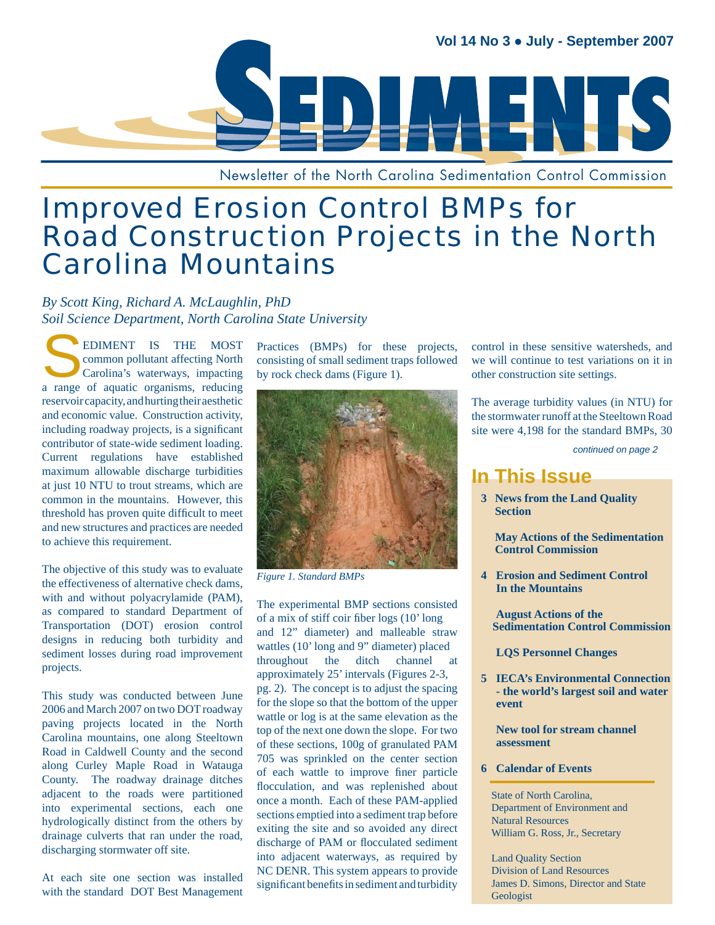

Newsletter of the North Carolina Sedimentation Control Commission

# Improved Erosion Control BMPs for **Road Construction Projects in the North** Carolina Mountains

*By Scott King, Richard A. McLaughlin, PhD Soil Science Department, North Carolina State University*

EDIMENT IS THE MOST<br>common pollutant affecting North<br>Carolina's waterways, impacting<br>a range of aquatic organisms reducing common pollutant affecting North Carolina's waterways, impacting a range of aquatic organisms, reducing reservoir capacity, and hurting their aesthetic and economic value. Construction activity, including roadway projects, is a significant contributor of state-wide sediment loading. Current regulations have established maximum allowable discharge turbidities at just 10 NTU to trout streams, which are common in the mountains. However, this threshold has proven quite difficult to meet and new structures and practices are needed to achieve this requirement.

The objective of this study was to evaluate the effectiveness of alternative check dams, with and without polyacrylamide (PAM), as compared to standard Department of Transportation (DOT) erosion control designs in reducing both turbidity and sediment losses during road improvement projects.

This study was conducted between June 2006 and March 2007 on two DOT roadway paving projects located in the North Carolina mountains, one along Steeltown Road in Caldwell County and the second along Curley Maple Road in Watauga County. The roadway drainage ditches adjacent to the roads were partitioned into experimental sections, each one hydrologically distinct from the others by drainage culverts that ran under the road, discharging stormwater off site.

At each site one section was installed with the standard DOT Best Management Practices (BMPs) for these projects, consisting of small sediment traps followed by rock check dams (Figure 1).



*Figure 1. Standard BMPs*

The experimental BMP sections consisted of a mix of stiff coir fiber  $\log s$  (10'  $\log$ and 12" diameter) and malleable straw wattles (10' long and 9" diameter) placed throughout the ditch channel at approximately 25' intervals (Figures 2-3, pg. 2). The concept is to adjust the spacing for the slope so that the bottom of the upper wattle or log is at the same elevation as the top of the next one down the slope. For two of these sections, 100g of granulated PAM 705 was sprinkled on the center section of each wattle to improve finer particle flocculation, and was replenished about once a month. Each of these PAM-applied sections emptied into a sediment trap before exiting the site and so avoided any direct discharge of PAM or flocculated sediment into adjacent waterways, as required by NC DENR. This system appears to provide significant benefits in sediment and turbidity

control in these sensitive watersheds, and we will continue to test variations on it in other construction site settings.

The average turbidity values (in NTU) for the stormwater runoff at the Steeltown Road site were 4,198 for the standard BMPs, 30

*continued on page 2*

## **In This Issue**

**3 News from the Land Quality Section**

 **May Actions of the Sedimentation Control Commission**

 **4 Erosion and Sediment Control In the Mountains**

 **August Actions of the Sedimentation Control Commission** 

 **LQS Personnel Changes**

 **5 IECA's Environmental Connection - the world's largest soil and water event**

 **New tool for stream channel assessment**

 **6 Calendar of Events**

 State of North Carolina, Department of Environment and Natural Resources William G. Ross, Jr., Secretary

 Land Quality Section Division of Land Resources James D. Simons, Director and State Geologist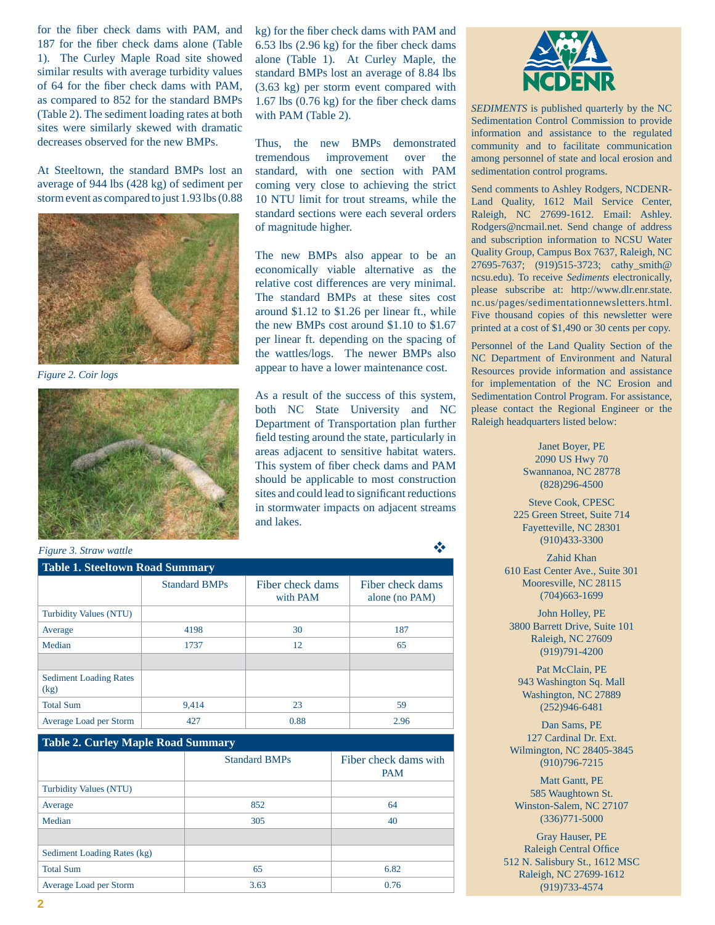for the fiber check dams with PAM, and 187 for the fiber check dams alone (Table 1). The Curley Maple Road site showed similar results with average turbidity values of 64 for the fiber check dams with PAM, as compared to 852 for the standard BMPs (Table 2). The sediment loading rates at both sites were similarly skewed with dramatic decreases observed for the new BMPs.

At Steeltown, the standard BMPs lost an average of 944 lbs (428 kg) of sediment per storm event as compared to just 1.93 lbs (0.88



*Figure 2. Coir logs*



**Table 1. Steeltown Road Summary** Standard BMPs Fiber check dams with PAM Fiber check dams alone (no PAM) Turbidity Values (NTU) Average 187 4198 30 30 187 Median  $1737$  12 65 Sediment Loading Rates (kg) Total Sum 59,414 23 59 Average Load per Storm  $\vert$  427  $\vert$  0.88  $\vert$  2.96 *Figure 3. Straw wattle*

| <b>Table 2. Curley Maple Road Summary</b> |                      |                                     |  |  |  |
|-------------------------------------------|----------------------|-------------------------------------|--|--|--|
|                                           | <b>Standard BMPs</b> | Fiber check dams with<br><b>PAM</b> |  |  |  |
| <b>Turbidity Values (NTU)</b>             |                      |                                     |  |  |  |
| Average                                   | 852                  | 64                                  |  |  |  |
| Median                                    | 305                  | 40                                  |  |  |  |
|                                           |                      |                                     |  |  |  |
| Sediment Loading Rates (kg)               |                      |                                     |  |  |  |
| <b>Total Sum</b>                          | 65                   | 6.82                                |  |  |  |
| Average Load per Storm                    | 3.63                 | 0.76                                |  |  |  |

kg) for the fiber check dams with PAM and  $6.53$  lbs  $(2.96 \text{ kg})$  for the fiber check dams alone (Table 1). At Curley Maple, the standard BMPs lost an average of 8.84 lbs (3.63 kg) per storm event compared with  $1.67$  lbs  $(0.76 \text{ kg})$  for the fiber check dams with PAM (Table 2).

Thus, the new BMPs demonstrated tremendous improvement over the standard, with one section with PAM coming very close to achieving the strict 10 NTU limit for trout streams, while the standard sections were each several orders of magnitude higher.

The new BMPs also appear to be an economically viable alternative as the relative cost differences are very minimal. The standard BMPs at these sites cost around \$1.12 to \$1.26 per linear ft., while the new BMPs cost around \$1.10 to \$1.67 per linear ft. depending on the spacing of the wattles/logs. The newer BMPs also appear to have a lower maintenance cost.

As a result of the success of this system, both NC State University and NC Department of Transportation plan further field testing around the state, particularly in areas adjacent to sensitive habitat waters. This system of fiber check dams and PAM should be applicable to most construction sites and could lead to significant reductions in stormwater impacts on adjacent streams and lakes.



*SEDIMENTS* is published quarterly by the NC Sedimentation Control Commission to provide information and assistance to the regulated community and to facilitate communication among personnel of state and local erosion and sedimentation control programs.

Send comments to Ashley Rodgers, NCDENR-Land Quality, 1612 Mail Service Center, Raleigh, NC 27699-1612. Email: Ashley. Rodgers@ncmail.net. Send change of address and subscription information to NCSU Water Quality Group, Campus Box 7637, Raleigh, NC 27695-7637; (919)515-3723; cathy\_smith@ ncsu.edu). To receive *Sediments* electronically, please subscribe at: http://www.dlr.enr.state. nc.us/pages/sedimentationnewsletters.html. Five thousand copies of this newsletter were printed at a cost of \$1,490 or 30 cents per copy.

Personnel of the Land Quality Section of the NC Department of Environment and Natural Resources provide information and assistance for implementation of the NC Erosion and Sedimentation Control Program. For assistance, please contact the Regional Engineer or the Raleigh headquarters listed below:

> Janet Boyer, PE 2090 US Hwy 70 Swannanoa, NC 28778 (828)296-4500

Steve Cook, CPESC 225 Green Street, Suite 714 Fayetteville, NC 28301 (910)433-3300

Zahid Khan 610 East Center Ave., Suite 301 Mooresville, NC 28115 (704)663-1699

John Holley, PE 3800 Barrett Drive, Suite 101 Raleigh, NC 27609 (919)791-4200

Pat McClain, PE 943 Washington Sq. Mall Washington, NC 27889 (252)946-6481

Dan Sams, PE 127 Cardinal Dr. Ext. Wilmington, NC 28405-3845 (910)796-7215

Matt Gantt, PE 585 Waughtown St. Winston-Salem, NC 27107 (336)771-5000

Gray Hauser, PE Raleigh Central Office 512 N. Salisbury St., 1612 MSC Raleigh, NC 27699-1612 (919)733-4574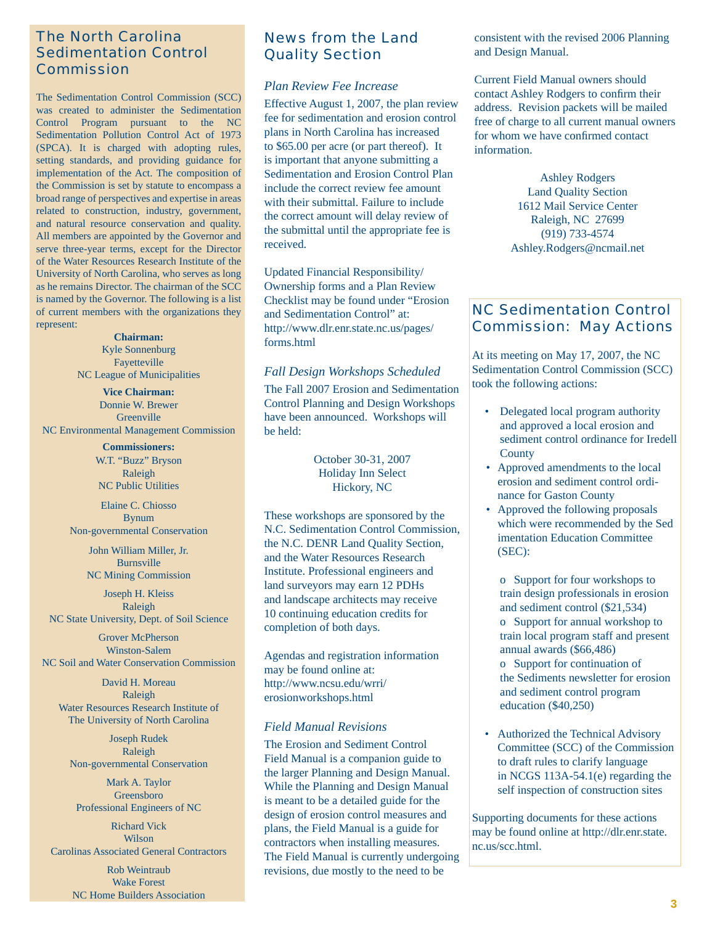### The North Carolina Sedimentation Control Commission

The Sedimentation Control Commission (SCC) was created to administer the Sedimentation Control Program pursuant to the NC Sedimentation Pollution Control Act of 1973 (SPCA). It is charged with adopting rules, setting standards, and providing guidance for implementation of the Act. The composition of the Commission is set by statute to encompass a broad range of perspectives and expertise in areas related to construction, industry, government, and natural resource conservation and quality. All members are appointed by the Governor and serve three-year terms, except for the Director of the Water Resources Research Institute of the University of North Carolina, who serves as long as he remains Director. The chairman of the SCC is named by the Governor. The following is a list of current members with the organizations they represent:

> **Chairman:** Kyle Sonnenburg Fayetteville NC League of Municipalities

**Vice Chairman:** Donnie W. Brewer **Greenville** NC Environmental Management Commission

> **Commissioners:** W.T. "Buzz" Bryson Raleigh NC Public Utilities

Elaine C. Chiosso Bynum Non-governmental Conservation

> John William Miller, Jr. Burnsville NC Mining Commission

Joseph H. Kleiss Raleigh NC State University, Dept. of Soil Science

Grover McPherson Winston-Salem NC Soil and Water Conservation Commission

David H. Moreau Raleigh Water Resources Research Institute of The University of North Carolina

Joseph Rudek Raleigh Non-governmental Conservation

Mark A. Taylor Greensboro Professional Engineers of NC

Richard Vick Wilson Carolinas Associated General Contractors

> Rob Weintraub Wake Forest NC Home Builders Association

### News from the Land Quality Section

#### *Plan Review Fee Increase*

Effective August 1, 2007, the plan review fee for sedimentation and erosion control plans in North Carolina has increased to \$65.00 per acre (or part thereof). It is important that anyone submitting a Sedimentation and Erosion Control Plan include the correct review fee amount with their submittal. Failure to include the correct amount will delay review of the submittal until the appropriate fee is received.

Updated Financial Responsibility/ Ownership forms and a Plan Review Checklist may be found under "Erosion and Sedimentation Control" at: http://www.dlr.enr.state.nc.us/pages/ forms.html

#### *Fall Design Workshops Scheduled*

The Fall 2007 Erosion and Sedimentation Control Planning and Design Workshops have been announced. Workshops will be held:

> October 30-31, 2007 Holiday Inn Select Hickory, NC

These workshops are sponsored by the N.C. Sedimentation Control Commission, the N.C. DENR Land Quality Section, and the Water Resources Research Institute. Professional engineers and land surveyors may earn 12 PDHs and landscape architects may receive 10 continuing education credits for completion of both days.

Agendas and registration information may be found online at: http://www.ncsu.edu/wrri/ erosionworkshops.html

### *Field Manual Revisions*

The Erosion and Sediment Control Field Manual is a companion guide to the larger Planning and Design Manual. While the Planning and Design Manual is meant to be a detailed guide for the design of erosion control measures and plans, the Field Manual is a guide for contractors when installing measures. The Field Manual is currently undergoing revisions, due mostly to the need to be

consistent with the revised 2006 Planning and Design Manual.

Current Field Manual owners should contact Ashley Rodgers to confirm their address. Revision packets will be mailed free of charge to all current manual owners for whom we have confirmed contact information.

> Ashley Rodgers Land Quality Section 1612 Mail Service Center Raleigh, NC 27699 (919) 733-4574 Ashley.Rodgers@ncmail.net

### NC Sedimentation Control Commission: May Actions

At its meeting on May 17, 2007, the NC Sedimentation Control Commission (SCC) took the following actions:

- Delegated local program authority and approved a local erosion and sediment control ordinance for Iredell **County**
- Approved amendments to the local erosion and sediment control ordi nance for Gaston County
- Approved the following proposals which were recommended by the Sed imentation Education Committee (SEC):

 o Support for four workshops to train design professionals in erosion and sediment control (\$21,534) o Support for annual workshop to train local program staff and present annual awards (\$66,486) o Support for continuation of the Sediments newsletter for erosion and sediment control program education (\$40,250)

 • Authorized the Technical Advisory Committee (SCC) of the Commission to draft rules to clarify language in NCGS 113A-54.1(e) regarding the self inspection of construction sites

Supporting documents for these actions may be found online at http://dlr.enr.state. nc.us/scc.html.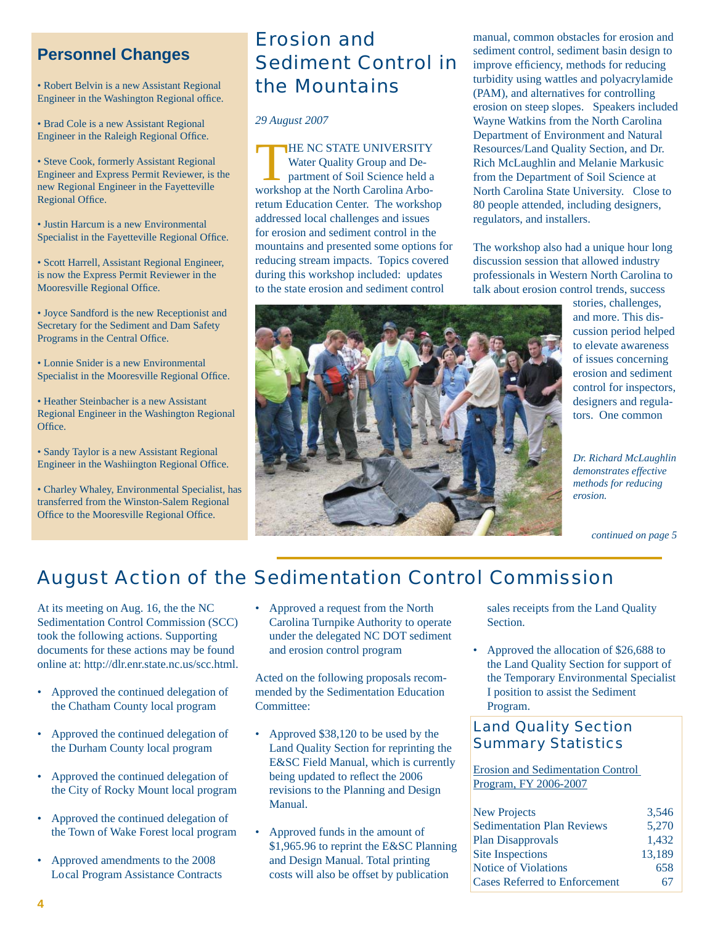## **Personnel Changes**

• Robert Belvin is a new Assistant Regional Engineer in the Washington Regional office.

• Brad Cole is a new Assistant Regional Engineer in the Raleigh Regional Office.

• Steve Cook, formerly Assistant Regional Engineer and Express Permit Reviewer, is the new Regional Engineer in the Fayetteville Regional Office.

• Justin Harcum is a new Environmental Specialist in the Fayetteville Regional Office.

• Scott Harrell, Assistant Regional Engineer, is now the Express Permit Reviewer in the Mooresville Regional Office.

• Joyce Sandford is the new Receptionist and Secretary for the Sediment and Dam Safety Programs in the Central Office.

• Lonnie Snider is a new Environmental Specialist in the Mooresville Regional Office.

• Heather Steinbacher is a new Assistant Regional Engineer in the Washington Regional Office.

• Sandy Taylor is a new Assistant Regional Engineer in the Washiington Regional Office.

• Charley Whaley, Environmental Specialist, has transferred from the Winston-Salem Regional Office to the Mooresville Regional Office.

# Erosion and Sediment Control in the Mountains

*29 August 2007*

THE NC STATE UNIVERSITY<br>Water Quality Group and Department of Soil Science held a<br>workshop at the North Caroline Arbo Water Quality Group and Deworkshop at the North Carolina Arboretum Education Center. The workshop addressed local challenges and issues for erosion and sediment control in the mountains and presented some options for reducing stream impacts. Topics covered during this workshop included: updates to the state erosion and sediment control

manual, common obstacles for erosion and sediment control, sediment basin design to improve efficiency, methods for reducing turbidity using wattles and polyacrylamide (PAM), and alternatives for controlling erosion on steep slopes. Speakers included Wayne Watkins from the North Carolina Department of Environment and Natural Resources/Land Quality Section, and Dr. Rich McLaughlin and Melanie Markusic from the Department of Soil Science at North Carolina State University. Close to 80 people attended, including designers, regulators, and installers.

The workshop also had a unique hour long discussion session that allowed industry professionals in Western North Carolina to talk about erosion control trends, success



*Dr. Richard McLaughlin demonstrates effective methods for reducing erosion.*

*continued on page 5*

# August Action of the Sedimentation Control Commission

At its meeting on Aug. 16, the the NC Sedimentation Control Commission (SCC) took the following actions. Supporting documents for these actions may be found online at: http://dlr.enr.state.nc.us/scc.html.

- Approved the continued delegation of the Chatham County local program
- Approved the continued delegation of the Durham County local program
- Approved the continued delegation of the City of Rocky Mount local program
- Approved the continued delegation of the Town of Wake Forest local program
- Approved amendments to the 2008 Lo cal Program Assistance Contracts

• Approved a request from the North Carolina Turnpike Authority to operate under the delegated NC DOT sediment and erosion control program

Acted on the following proposals recommended by the Sedimentation Education Committee:

- Approved \$38,120 to be used by the Land Quality Section for reprinting the E&SC Field Manual, which is currently being updated to reflect the 2006 revisions to the Planning and Design Manual.
- Approved funds in the amount of \$1,965.96 to reprint the E&SC Planning and Design Manual. Total printing costs will also be offset by publication

 sales receipts from the Land Quality Section.

• Approved the allocation of \$26,688 to the Land Quality Section for support of the Temporary Environmental Specialist I position to assist the Sediment Program.

### Land Quality Section Summary Statistics

Erosion and Sedimentation Control Program, FY 2006-2007

| <b>New Projects</b>                  | 3.546  |
|--------------------------------------|--------|
| <b>Sedimentation Plan Reviews</b>    | 5,270  |
| <b>Plan Disapprovals</b>             | 1.432  |
| Site Inspections                     | 13.189 |
| <b>Notice of Violations</b>          | 658    |
| <b>Cases Referred to Enforcement</b> | n /    |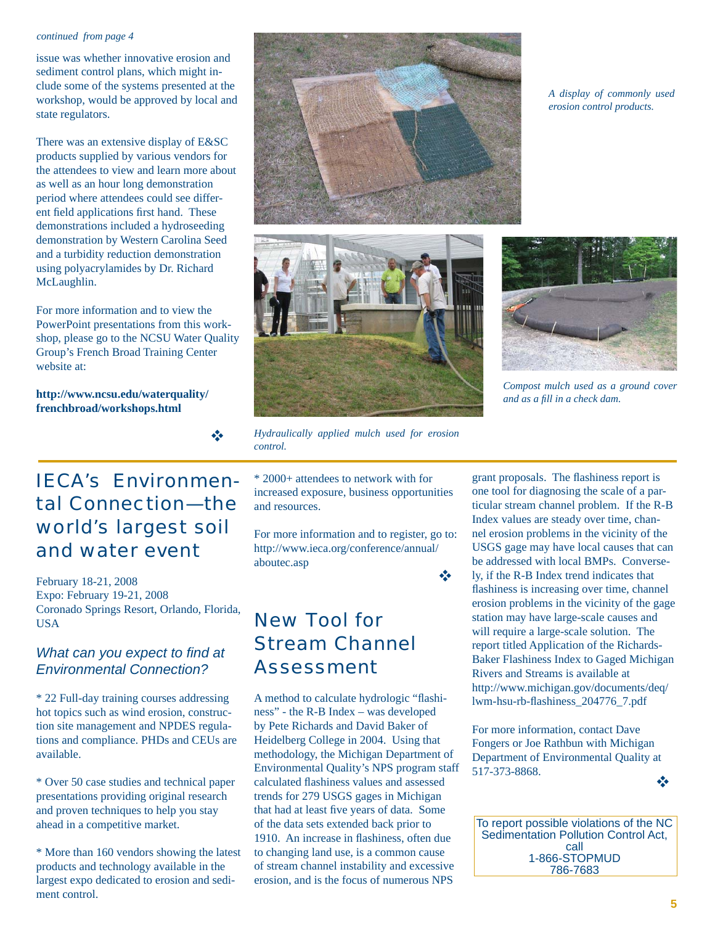#### *continued from page 4*

issue was whether innovative erosion and sediment control plans, which might include some of the systems presented at the workshop, would be approved by local and state regulators.

There was an extensive display of E&SC products supplied by various vendors for the attendees to view and learn more about as well as an hour long demonstration period where attendees could see different field applications first hand. These demonstrations included a hydroseeding demonstration by Western Carolina Seed and a turbidity reduction demonstration using polyacrylamides by Dr. Richard McLaughlin.

For more information and to view the PowerPoint presentations from this workshop, please go to the NCSU Water Quality Group's French Broad Training Center website at:

**http://www.ncsu.edu/waterquality/ frenchbroad/workshops.html**

# IECA's Environmental Connection—the world's largest soil and water event

 $\frac{1}{2}$ 

February 18-21, 2008 Expo: February 19-21, 2008 Coronado Springs Resort, Orlando, Florida, USA

### *What can you expect to find at Environmental Connection?*

\* 22 Full-day training courses addressing hot topics such as wind erosion, construction site management and NPDES regulations and compliance. PHDs and CEUs are available.

\* Over 50 case studies and technical paper presentations providing original research and proven techniques to help you stay ahead in a competitive market.

\* More than 160 vendors showing the latest products and technology available in the largest expo dedicated to erosion and sediment control.

\* 2000+ attendees to network with for *Hydraulically applied mulch used for erosion control.*

increased exposure, business opportunities and resources.

For more information and to register, go to: http://www.ieca.org/conference/annual/ aboutec.asp

# New Tool for Stream Channel Assessment

A method to calculate hydrologic "flashiness" - the R-B Index – was developed by Pete Richards and David Baker of Heidelberg College in 2004. Using that methodology, the Michigan Department of Environmental Quality's NPS program staff calculated flashiness values and assessed trends for 279 USGS gages in Michigan that had at least five years of data. Some of the data sets extended back prior to 1910. An increase in flashiness, often due to changing land use, is a common cause of stream channel instability and excessive erosion, and is the focus of numerous NPS

*A display of commonly used erosion control products.*



*Compost mulch used as a ground cover and as a fi ll in a check dam.*

grant proposals. The flashiness report is one tool for diagnosing the scale of a particular stream channel problem. If the R-B Index values are steady over time, channel erosion problems in the vicinity of the USGS gage may have local causes that can be addressed with local BMPs. Conversely, if the R-B Index trend indicates that flashiness is increasing over time, channel erosion problems in the vicinity of the gage station may have large-scale causes and will require a large-scale solution. The report titled Application of the Richards-Baker Flashiness Index to Gaged Michigan Rivers and Streams is available at http://www.michigan.gov/documents/deq/ lwm-hsu-rb-flashiness\_204776\_7.pdf

For more information, contact Dave Fongers or Joe Rathbun with Michigan Department of Environmental Quality at 517-373-8868. ❖

To report possible violations of the NC Sedimentation Pollution Control Act, call 1-866-STOPMUD 786-7683